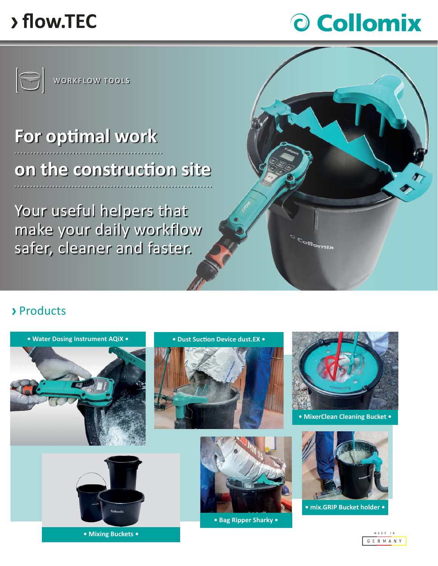# **flow.TEC**





WORKFLOW TOOLS

### **For optimal work**

## **on the construction site**

Your useful helpers that make your daily workflow safer, cleaner and faster.





**• Mixing Buckets •**



**• Dust Suction Device dust.EX •**

**• Bag Ripper Sharky •**



<sup>Conomix</sub></sup>

**• MixerClean Cleaning Bucket •**



**• mix.GRIP Bucket holder •**

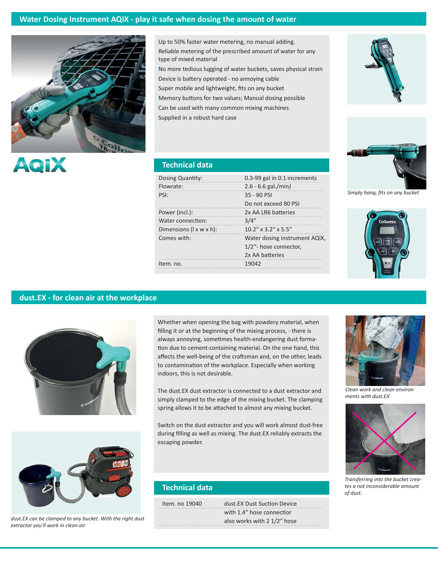#### **Water Dosing Instrument AQiX - play it safe when dosing the amount of water**

**Technical data**



Up to 50% faster water metering, no manual adding. Reliable metering of the prescribed amount of water for any type of mixed material No more tedious lugging of water buckets, saves physical strain Device is battery operated - no annoying cable

Super mobile and lightweight, fits on any bucket Memory buttons for two values; Manual dosing possible Can be used with many common mixing machines Supplied in a robust hard case

Dosing Quantity: 0.3-99 gal in 0.1 increments

Comes with: Water dosing instrument AQiX,

Do not exceed 80 PSI

 1/2"- hose connector, 2x AA batteries

Flowrate: 2.6 - 6.6 gal./min*)* PSI: 35 - 80 PSI

Power (incl.): 2x AA LR6 batteries

Dimensions (l x w x h): 10.2" x 3.2" x 5.5"

Water connection: 3/4"

Item. no. 19042





*Simply hang, fits on any bucket*



#### **dust.EX - for clean air at the workplace**





*dust.EX can be clamped to any bucket. With the right dust extractor you'll work in clean air*

Whether when opening the bag with powdery material, when filling it or at the beginning of the mixing process, - there is always annoying, sometimes health-endangering dust formation due to cement-containing material. On the one hand, this affects the well-being of the craftsman and, on the other, leads to contamination of the workplace. Especially when working indoors, this is not desirable.

The dust.EX dust extractor is connected to a dust extractor and simply clamped to the edge of the mixing bucket. The clamping spring allows it to be attached to almost any mixing bucket.

Switch on the dust extractor and you will work almost dust-free during filling as well as mixing. The dust.EX reliably extracts the escaping powder.

also works with 2 1/2" hose

| <b>Technical data</b> |                             |  |  |
|-----------------------|-----------------------------|--|--|
| Item. no 19040        | dust.EX Dust Suction Device |  |  |
|                       | with 1.4" hose connectior   |  |  |



*Clean work and clean environments with dust.EX*



*Transferring into the bucket creates a not inconsiderable amount of dust.*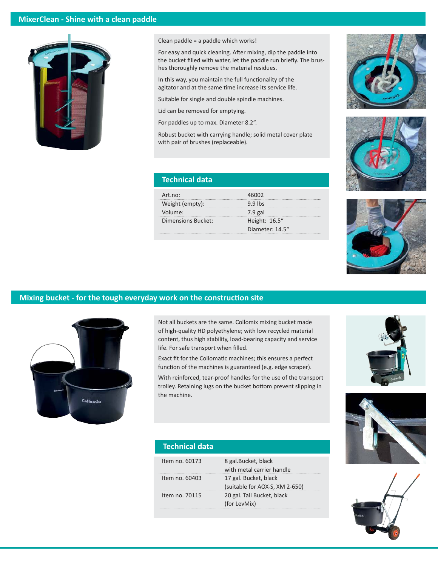#### **MixerClean - Shine with a clean paddle**



Clean paddle = a paddle which works!

For easy and quick cleaning. After mixing, dip the paddle into the bucket filled with water, let the paddle run briefly. The brushes thoroughly remove the material residues.

In this way, you maintain the full functionality of the agitator and at the same time increase its service life.

Suitable for single and double spindle machines.

Lid can be removed for emptying.

For paddles up to max. Diameter 8.2".

Robust bucket with carrying handle; solid metal cover plate with pair of brushes (replaceable).

| <b>Technical data</b> |  |  |
|-----------------------|--|--|
|                       |  |  |

| Art.no:            | 46002           |
|--------------------|-----------------|
| Weight (empty):    | $9.9$ lbs       |
| Volume:            | $7.9$ gal       |
| Dimensions Bucket: | Height: 16.5"   |
|                    | Diameter: 14.5" |







#### **Mixing bucket - for the tough everyday work on the construction site**



Not all buckets are the same. Collomix mixing bucket made of high-quality HD polyethylene; with low recycled material content, thus high stability, load-bearing capacity and service life. For safe transport when filled.

Exact fit for the Collomatic machines; this ensures a perfect function of the machines is guaranteed (e.g. edge scraper).

With reinforced, tear-proof handles for the use of the transport trolley. Retaining lugs on the bucket bottom prevent slipping in the machine.







### **Technical data**

| Item no. 60173 | 8 gal.Bucket, black            |
|----------------|--------------------------------|
|                | with metal carrier handle      |
| Item no. 60403 | 17 gal. Bucket, black          |
|                | (suitable for AOX-S, XM 2-650) |
| Item no. 70115 | 20 gal. Tall Bucket, black     |
|                | (for LevMix)                   |
|                |                                |